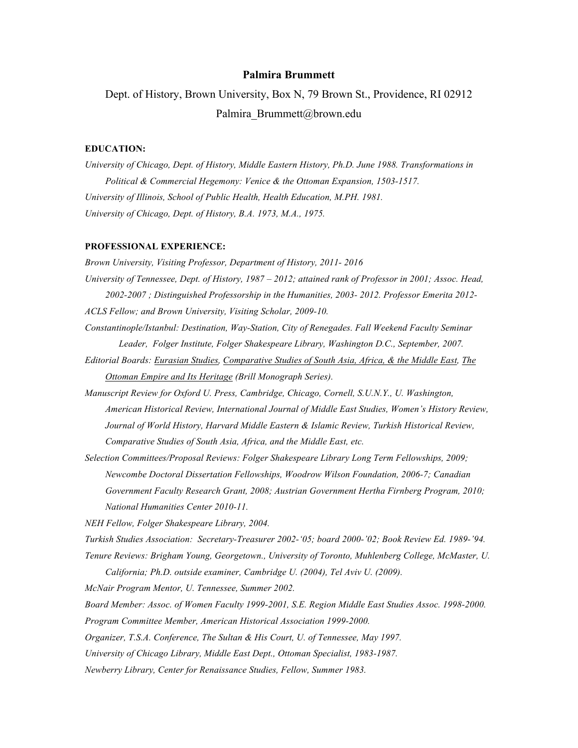### **Palmira Brummett**

Dept. of History, Brown University, Box N, 79 Brown St., Providence, RI 02912 Palmira Brummett@brown.edu

## **EDUCATION:**

*University of Chicago, Dept. of History, Middle Eastern History, Ph.D. June 1988. Transformations in Political & Commercial Hegemony: Venice & the Ottoman Expansion, 1503-1517. University of Illinois, School of Public Health, Health Education, M.PH. 1981. University of Chicago, Dept. of History, B.A. 1973, M.A., 1975.*

#### **PROFESSIONAL EXPERIENCE:**

*Brown University, Visiting Professor, Department of History, 2011- 2016 University of Tennessee, Dept. of History, 1987 – 2012; attained rank of Professor in 2001; Assoc. Head, 2002-2007 ; Distinguished Professorship in the Humanities, 2003- 2012. Professor Emerita 2012- ACLS Fellow; and Brown University, Visiting Scholar, 2009-10.* 

- *Constantinople/Istanbul: Destination, Way-Station, City of Renegades. Fall Weekend Faculty Seminar Leader, Folger Institute, Folger Shakespeare Library, Washington D.C., September, 2007.*
- *Editorial Boards: Eurasian Studies, Comparative Studies of South Asia, Africa, & the Middle East, The Ottoman Empire and Its Heritage (Brill Monograph Series).*
- *Manuscript Review for Oxford U. Press, Cambridge, Chicago, Cornell, S.U.N.Y., U. Washington, American Historical Review, International Journal of Middle East Studies, Women's History Review, Journal of World History, Harvard Middle Eastern & Islamic Review, Turkish Historical Review, Comparative Studies of South Asia, Africa, and the Middle East, etc.*
- *Selection Committees/Proposal Reviews: Folger Shakespeare Library Long Term Fellowships, 2009; Newcombe Doctoral Dissertation Fellowships, Woodrow Wilson Foundation, 2006-7; Canadian Government Faculty Research Grant, 2008; Austrian Government Hertha Firnberg Program, 2010; National Humanities Center 2010-11.*

*NEH Fellow, Folger Shakespeare Library, 2004.*

*Turkish Studies Association: Secretary-Treasurer 2002-'05; board 2000-'02; Book Review Ed. 1989-'94.*

*Tenure Reviews: Brigham Young, Georgetown., University of Toronto, Muhlenberg College, McMaster, U. California; Ph.D. outside examiner, Cambridge U. (2004), Tel Aviv U. (2009).*

*McNair Program Mentor, U. Tennessee, Summer 2002.*

*Board Member: Assoc. of Women Faculty 1999-2001, S.E. Region Middle East Studies Assoc. 1998-2000.*

*Program Committee Member, American Historical Association 1999-2000.*

*Organizer, T.S.A. Conference, The Sultan & His Court, U. of Tennessee, May 1997.*

*University of Chicago Library, Middle East Dept., Ottoman Specialist, 1983-1987.*

*Newberry Library, Center for Renaissance Studies, Fellow, Summer 1983.*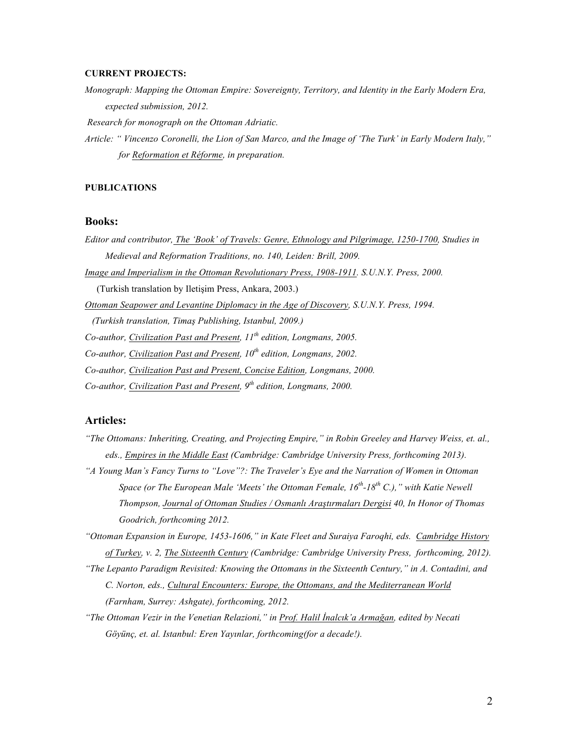## **CURRENT PROJECTS:**

*Monograph: Mapping the Ottoman Empire: Sovereignty, Territory, and Identity in the Early Modern Era, expected submission, 2012.*

*Research for monograph on the Ottoman Adriatic.*

*Article: " Vincenzo Coronelli, the Lion of San Marco, and the Image of 'The Turk' in Early Modern Italy," for Reformation et Réforme, in preparation.*

# **PUBLICATIONS**

## **Books:**

- *Editor and contributor, The 'Book' of Travels: Genre, Ethnology and Pilgrimage, 1250-1700, Studies in Medieval and Reformation Traditions, no. 140, Leiden: Brill, 2009.*
- *Image and Imperialism in the Ottoman Revolutionary Press, 1908-1911. S.U.N.Y. Press, 2000.*

(Turkish translation by Iletişim Press, Ankara, 2003.)

*Ottoman Seapower and Levantine Diplomacy in the Age of Discovery, S.U.N.Y. Press, 1994.*

 *(Turkish translation, Timaş Publishing, Istanbul, 2009.)*

*Co-author, Civilization Past and Present, 11th edition, Longmans, 2005.*

*Co-author, Civilization Past and Present, 10th edition, Longmans, 2002.*

*Co-author, Civilization Past and Present, Concise Edition, Longmans, 2000.*

*Co-author, Civilization Past and Present, 9th edition, Longmans, 2000.*

# **Articles:**

- *"The Ottomans: Inheriting, Creating, and Projecting Empire," in Robin Greeley and Harvey Weiss, et. al., eds., Empires in the Middle East (Cambridge: Cambridge University Press, forthcoming 2013).*
- *"A Young Man's Fancy Turns to "Love"?: The Traveler's Eye and the Narration of Women in Ottoman Space (or The European Male 'Meets' the Ottoman Female, 16th -18th C.)," with Katie Newell Thompson, Journal of Ottoman Studies / Osmanlı Araştırmaları Dergisi 40, In Honor of Thomas Goodrich, forthcoming 2012.*

*"Ottoman Expansion in Europe, 1453-1606," in Kate Fleet and Suraiya Faroqhi, eds. Cambridge History of Turkey, v. 2, The Sixteenth Century (Cambridge: Cambridge University Press, forthcoming, 2012).*

*"The Lepanto Paradigm Revisited: Knowing the Ottomans in the Sixteenth Century," in A. Contadini, and C. Norton, eds., Cultural Encounters: Europe, the Ottomans, and the Mediterranean World (Farnham, Surrey: Ashgate), forthcoming, 2012.*

*"The Ottoman Vezir in the Venetian Relazioni," in Prof. Halil İnalcık'a Armağan, edited by Necati Göyünç, et. al. Istanbul: Eren Yayınlar, forthcoming(for a decade!).*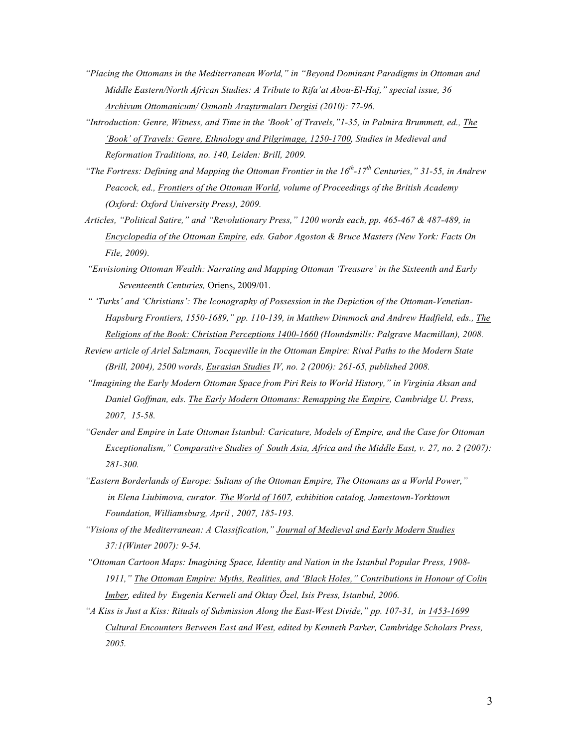- *"Placing the Ottomans in the Mediterranean World," in "Beyond Dominant Paradigms in Ottoman and Middle Eastern/North African Studies: A Tribute to Rifa'at Abou-El-Haj," special issue, 36 Archivum Ottomanicum/ Osmanlı Araştırmaları Dergisi (2010): 77-96.*
- *"Introduction: Genre, Witness, and Time in the 'Book' of Travels,"1-35, in Palmira Brummett, ed., The 'Book' of Travels: Genre, Ethnology and Pilgrimage, 1250-1700, Studies in Medieval and Reformation Traditions, no. 140, Leiden: Brill, 2009.*
- *"The Fortress: Defining and Mapping the Ottoman Frontier in the 16th-17th Centuries," 31-55, in Andrew Peacock, ed., Frontiers of the Ottoman World, volume of Proceedings of the British Academy (Oxford: Oxford University Press), 2009.*
- *Articles, "Political Satire," and "Revolutionary Press," 1200 words each, pp. 465-467 & 487-489, in Encyclopedia of the Ottoman Empire, eds. Gabor Agoston & Bruce Masters (New York: Facts On File, 2009).*
- *"Envisioning Ottoman Wealth: Narrating and Mapping Ottoman 'Treasure' in the Sixteenth and Early Seventeenth Centuries,* Oriens, 2009/01.
- *" 'Turks' and 'Christians': The Iconography of Possession in the Depiction of the Ottoman-Venetian-Hapsburg Frontiers, 1550-1689," pp. 110-139, in Matthew Dimmock and Andrew Hadfield, eds., The Religions of the Book: Christian Perceptions 1400-1660 (Houndsmills: Palgrave Macmillan), 2008.*
- *Review article of Ariel Salzmann, Tocqueville in the Ottoman Empire: Rival Paths to the Modern State (Brill, 2004), 2500 words, Eurasian Studies IV, no. 2 (2006): 261-65, published 2008.*
- *"Imagining the Early Modern Ottoman Space from Piri Reis to World History," in Virginia Aksan and Daniel Goffman, eds. The Early Modern Ottomans: Remapping the Empire, Cambridge U. Press, 2007, 15-58.*
- *"Gender and Empire in Late Ottoman Istanbul: Caricature, Models of Empire, and the Case for Ottoman Exceptionalism," Comparative Studies of South Asia, Africa and the Middle East, v. 27, no. 2 (2007): 281-300.*
- *"Eastern Borderlands of Europe: Sultans of the Ottoman Empire, The Ottomans as a World Power," in Elena Liubimova, curator. The World of 1607, exhibition catalog, Jamestown-Yorktown Foundation, Williamsburg, April , 2007, 185-193.*
- *"Visions of the Mediterranean: A Classification," Journal of Medieval and Early Modern Studies 37:1(Winter 2007): 9-54.*
- *"Ottoman Cartoon Maps: Imagining Space, Identity and Nation in the Istanbul Popular Press, 1908- 1911," The Ottoman Empire: Myths, Realities, and 'Black Holes," Contributions in Honour of Colin Imber, edited by Eugenia Kermeli and Oktay Özel, Isis Press, Istanbul, 2006.*
- *"A Kiss is Just a Kiss: Rituals of Submission Along the East-West Divide," pp. 107-31, in 1453-1699 Cultural Encounters Between East and West, edited by Kenneth Parker, Cambridge Scholars Press, 2005.*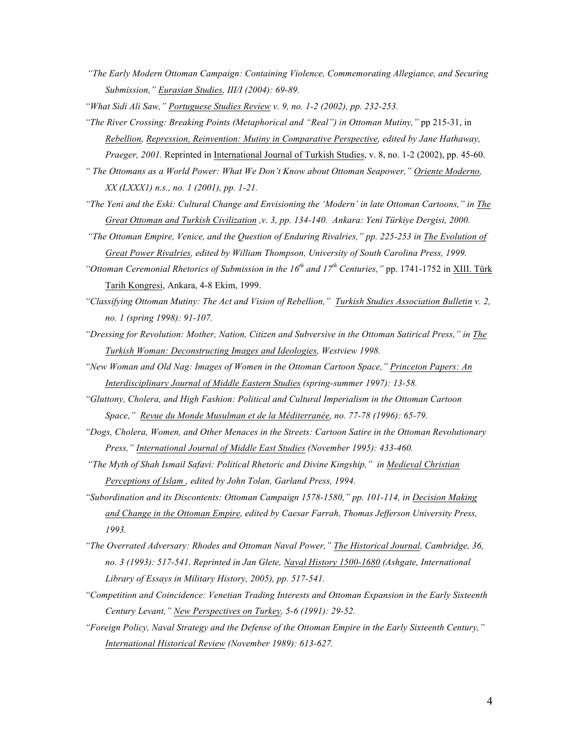- *"The Early Modern Ottoman Campaign: Containing Violence, Commemorating Allegiance, and Securing Submission," Eurasian Studies, III/I (2004): 69-89.*
- *"What Sidi Ali Saw," Portuguese Studies Review v. 9, no. 1-2 (2002), pp. 232-253.*
- *"The River Crossing: Breaking Points (Metaphorical and "Real") in Ottoman Mutiny,"* pp 215-31, in *Rebellion, Repression, Reinvention: Mutiny in Comparative Perspective, edited by Jane Hathaway, Praeger, 2001.* Reprinted in International Journal of Turkish Studies, v. 8, no. 1-2 (2002), pp. 45-60.

*" The Ottomans as a World Power: What We Don't Know about Ottoman Seapower," Oriente Moderno, XX (LXXX1) n.s., no. 1 (2001), pp. 1-21.*

- *"The Yeni and the Eski: Cultural Change and Envisioning the 'Modern' in late Ottoman Cartoons," in The Great Ottoman and Turkish Civilization ,v. 3, pp. 134-140. Ankara: Yeni Türkiye Dergisi, 2000.*
- *"The Ottoman Empire, Venice, and the Question of Enduring Rivalries," pp. 225-253 in The Evolution of Great Power Rivalries, edited by William Thompson, University of South Carolina Press, 1999.*
- *"Ottoman Ceremonial Rhetorics of Submission in the 16th and 17th Centuries,"* pp. 1741-1752 in XIII. Türk Tarih Kongresi, Ankara, 4-8 Ekim, 1999.
- *"Classifying Ottoman Mutiny: The Act and Vision of Rebellion," Turkish Studies Association Bulletin v. 2, no. 1 (spring 1998): 91-107.*
- *"Dressing for Revolution: Mother, Nation, Citizen and Subversive in the Ottoman Satirical Press," in The Turkish Woman: Deconstructing Images and Ideologies, Westview 1998.*
- *"New Woman and Old Nag: Images of Women in the Ottoman Cartoon Space," Princeton Papers: An Interdisciplinary Journal of Middle Eastern Studies (spring-summer 1997): 13-58.*
- *"Gluttony, Cholera, and High Fashion: Political and Cultural Imperialism in the Ottoman Cartoon Space," Revue du Monde Musulman et de la Méditerranée, no. 77-78 (1996): 65-79.*
- *"Dogs, Cholera, Women, and Other Menaces in the Streets: Cartoon Satire in the Ottoman Revolutionary Press," International Journal of Middle East Studies (November 1995): 433-460.*
- *"The Myth of Shah Ismail Safavi: Political Rhetoric and Divine Kingship," in Medieval Christian Perceptions of Islam , edited by John Tolan, Garland Press, 1994.*
- *"Subordination and its Discontents: Ottoman Campaign 1578-1580," pp. 101-114, in Decision Making and Change in the Ottoman Empire, edited by Caesar Farrah, Thomas Jefferson University Press, 1993.*
- *"The Overrated Adversary: Rhodes and Ottoman Naval Power," The Historical Journal, Cambridge, 36, no. 3 (1993): 517-541. Reprinted in Jan Glete, Naval History 1500-1680 (Ashgate, International Library of Essays in Military History, 2005), pp. 517-541.*
- *"Competition and Coincidence: Venetian Trading Interests and Ottoman Expansion in the Early Sixteenth Century Levant," New Perspectives on Turkey, 5-6 (1991): 29-52.*
- *"Foreign Policy, Naval Strategy and the Defense of the Ottoman Empire in the Early Sixteenth Century," International Historical Review (November 1989): 613-627.*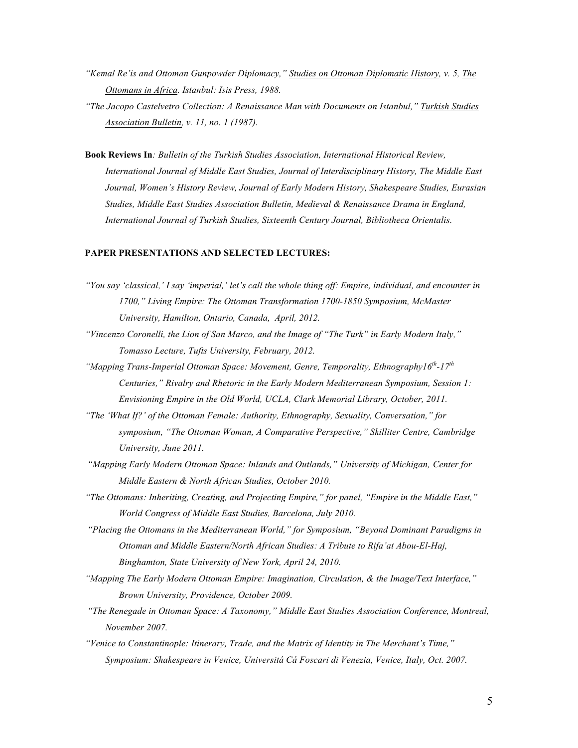- *"Kemal Re'is and Ottoman Gunpowder Diplomacy," Studies on Ottoman Diplomatic History, v. 5, The Ottomans in Africa. Istanbul: Isis Press, 1988.*
- *"The Jacopo Castelvetro Collection: A Renaissance Man with Documents on Istanbul," Turkish Studies Association Bulletin, v. 11, no. 1 (1987).*
- **Book Reviews In***: Bulletin of the Turkish Studies Association, International Historical Review, International Journal of Middle East Studies, Journal of Interdisciplinary History, The Middle East Journal, Women's History Review, Journal of Early Modern History, Shakespeare Studies, Eurasian Studies, Middle East Studies Association Bulletin, Medieval & Renaissance Drama in England, International Journal of Turkish Studies, Sixteenth Century Journal, Bibliotheca Orientalis.*

# **PAPER PRESENTATIONS AND SELECTED LECTURES:**

- *"You say 'classical,' I say 'imperial,' let's call the whole thing off: Empire, individual, and encounter in 1700," Living Empire: The Ottoman Transformation 1700-1850 Symposium, McMaster University, Hamilton, Ontario, Canada, April, 2012.*
- *"Vincenzo Coronelli, the Lion of San Marco, and the Image of "The Turk" in Early Modern Italy," Tomasso Lecture, Tufts University, February, 2012.*
- *"Mapping Trans-Imperial Ottoman Space: Movement, Genre, Temporality, Ethnography16th-17th Centuries," Rivalry and Rhetoric in the Early Modern Mediterranean Symposium, Session 1: Envisioning Empire in the Old World, UCLA, Clark Memorial Library, October, 2011.*
- *"The 'What If?' of the Ottoman Female: Authority, Ethnography, Sexuality, Conversation," for symposium, "The Ottoman Woman, A Comparative Perspective," Skilliter Centre, Cambridge University, June 2011.*
- *"Mapping Early Modern Ottoman Space: Inlands and Outlands," University of Michigan, Center for Middle Eastern & North African Studies, October 2010.*
- *"The Ottomans: Inheriting, Creating, and Projecting Empire," for panel, "Empire in the Middle East," World Congress of Middle East Studies, Barcelona, July 2010.*
- *"Placing the Ottomans in the Mediterranean World," for Symposium, "Beyond Dominant Paradigms in Ottoman and Middle Eastern/North African Studies: A Tribute to Rifa'at Abou-El-Haj, Binghamton, State University of New York, April 24, 2010.*
- *"Mapping The Early Modern Ottoman Empire: Imagination, Circulation, & the Image/Text Interface," Brown University, Providence, October 2009.*
- *"The Renegade in Ottoman Space: A Taxonomy," Middle East Studies Association Conference, Montreal, November 2007.*
- *"Venice to Constantinople: Itinerary, Trade, and the Matrix of Identity in The Merchant's Time," Symposium: Shakespeare in Venice, Universitá Cá Foscari di Venezia, Venice, Italy, Oct. 2007.*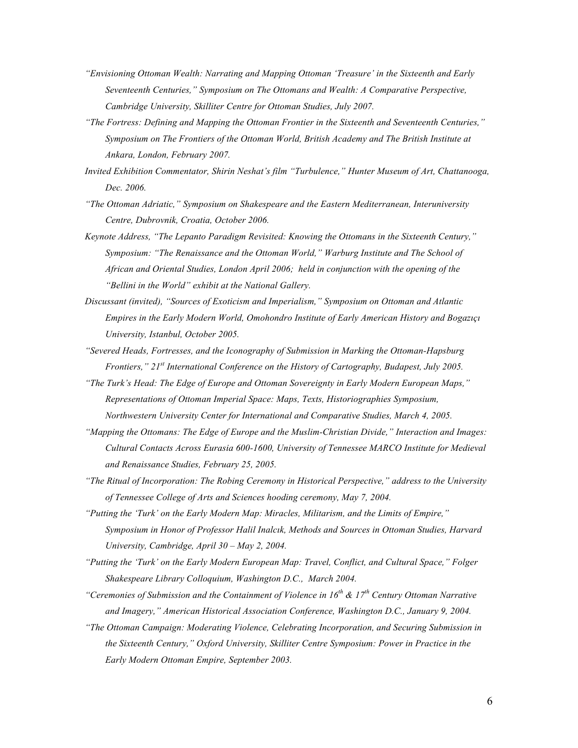- *"Envisioning Ottoman Wealth: Narrating and Mapping Ottoman 'Treasure' in the Sixteenth and Early Seventeenth Centuries," Symposium on The Ottomans and Wealth: A Comparative Perspective, Cambridge University, Skilliter Centre for Ottoman Studies, July 2007.*
- *"The Fortress: Defining and Mapping the Ottoman Frontier in the Sixteenth and Seventeenth Centuries," Symposium on The Frontiers of the Ottoman World, British Academy and The British Institute at Ankara, London, February 2007.*
- *Invited Exhibition Commentator, Shirin Neshat's film "Turbulence," Hunter Museum of Art, Chattanooga, Dec. 2006.*
- *"The Ottoman Adriatic," Symposium on Shakespeare and the Eastern Mediterranean, Interuniversity Centre, Dubrovnik, Croatia, October 2006.*
- *Keynote Address, "The Lepanto Paradigm Revisited: Knowing the Ottomans in the Sixteenth Century," Symposium: "The Renaissance and the Ottoman World," Warburg Institute and The School of African and Oriental Studies, London April 2006; held in conjunction with the opening of the "Bellini in the World" exhibit at the National Gallery.*
- *Discussant (invited), "Sources of Exoticism and Imperialism," Symposium on Ottoman and Atlantic Empires in the Early Modern World, Omohondro Institute of Early American History and Bogazıçı University, Istanbul, October 2005.*
- *"Severed Heads, Fortresses, and the Iconography of Submission in Marking the Ottoman-Hapsburg Frontiers," 21st International Conference on the History of Cartography, Budapest, July 2005.*
- *"The Turk's Head: The Edge of Europe and Ottoman Sovereignty in Early Modern European Maps," Representations of Ottoman Imperial Space: Maps, Texts, Historiographies Symposium, Northwestern University Center for International and Comparative Studies, March 4, 2005.*
- *"Mapping the Ottomans: The Edge of Europe and the Muslim-Christian Divide," Interaction and Images: Cultural Contacts Across Eurasia 600-1600, University of Tennessee MARCO Institute for Medieval and Renaissance Studies, February 25, 2005.*
- *"The Ritual of Incorporation: The Robing Ceremony in Historical Perspective," address to the University of Tennessee College of Arts and Sciences hooding ceremony, May 7, 2004.*
- *"Putting the 'Turk' on the Early Modern Map: Miracles, Militarism, and the Limits of Empire," Symposium in Honor of Professor Halil Inalcık, Methods and Sources in Ottoman Studies, Harvard University, Cambridge, April 30 – May 2, 2004.*
- *"Putting the 'Turk' on the Early Modern European Map: Travel, Conflict, and Cultural Space," Folger Shakespeare Library Colloquium, Washington D.C., March 2004.*
- *"Ceremonies of Submission and the Containment of Violence in 16th & 17th Century Ottoman Narrative and Imagery," American Historical Association Conference, Washington D.C., January 9, 2004.*
- *"The Ottoman Campaign: Moderating Violence, Celebrating Incorporation, and Securing Submission in the Sixteenth Century," Oxford University, Skilliter Centre Symposium: Power in Practice in the Early Modern Ottoman Empire, September 2003.*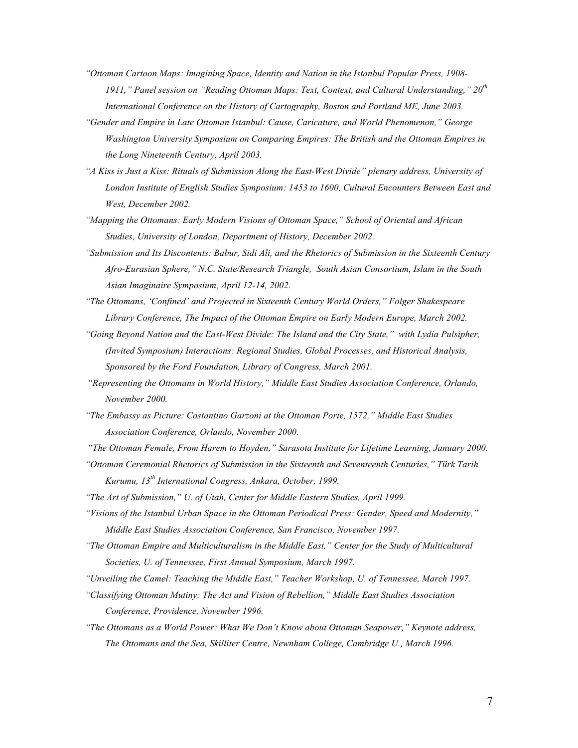- *"Ottoman Cartoon Maps: Imagining Space, Identity and Nation in the Istanbul Popular Press, 1908- 1911," Panel session on "Reading Ottoman Maps: Text, Context, and Cultural Understanding," 20th International Conference on the History of Cartography, Boston and Portland ME, June 2003.*
- *"Gender and Empire in Late Ottoman Istanbul: Cause, Caricature, and World Phenomenon," George Washington University Symposium on Comparing Empires: The British and the Ottoman Empires in the Long Nineteenth Century, April 2003.*
- *"A Kiss is Just a Kiss: Rituals of Submission Along the East-West Divide" plenary address, University of London Institute of English Studies Symposium: 1453 to 1600, Cultural Encounters Between East and West, December 2002.*
- *"Mapping the Ottomans: Early Modern Visions of Ottoman Space," School of Oriental and African Studies, University of London, Department of History, December 2002.*
- *"Submission and Its Discontents: Babur, Sidi Ali, and the Rhetorics of Submission in the Sixteenth Century Afro-Eurasian Sphere," N.C. State/Research Triangle, South Asian Consortium, Islam in the South Asian Imaginaire Symposium, April 12-14, 2002.*
- *"The Ottomans, 'Confined' and Projected in Sixteenth Century World Orders," Folger Shakespeare Library Conference, The Impact of the Ottoman Empire on Early Modern Europe, March 2002.*
- *"Going Beyond Nation and the East-West Divide: The Island and the City State," with Lydia Pulsipher, (Invited Symposium) Interactions: Regional Studies, Global Processes, and Historical Analysis, Sponsored by the Ford Foundation, Library of Congress, March 2001.*
- *"Representing the Ottomans in World History," Middle East Studies Association Conference, Orlando, November 2000.*
- *"The Embassy as Picture: Costantino Garzoni at the Ottoman Porte, 1572," Middle East Studies Association Conference, Orlando, November 2000.*
- *"The Ottoman Female, From Harem to Hoyden," Sarasota Institute for Lifetime Learning, January 2000.*
- *"Ottoman Ceremonial Rhetorics of Submission in the Sixteenth and Seventeenth Centuries," Türk Tarih Kurumu, 13th International Congress, Ankara, October, 1999.*
- *"The Art of Submission," U. of Utah, Center for Middle Eastern Studies, April 1999.*
- *"Visions of the Istanbul Urban Space in the Ottoman Periodical Press: Gender, Speed and Modernity," Middle East Studies Association Conference, San Francisco, November 1997.*
- *"The Ottoman Empire and Multiculturalism in the Middle East," Center for the Study of Multicultural Societies, U. of Tennessee, First Annual Symposium, March 1997.*
- *"Unveiling the Camel: Teaching the Middle East," Teacher Workshop, U. of Tennessee, March 1997.*
- *"Classifying Ottoman Mutiny: The Act and Vision of Rebellion," Middle East Studies Association Conference, Providence, November 1996.*
- *"The Ottomans as a World Power: What We Don't Know about Ottoman Seapower," Keynote address, The Ottomans and the Sea, Skilliter Centre, Newnham College, Cambridge U., March 1996.*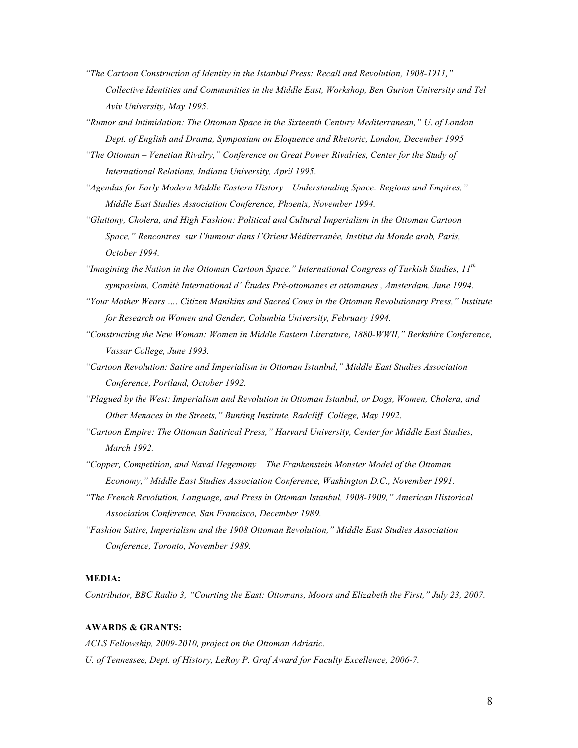- *"The Cartoon Construction of Identity in the Istanbul Press: Recall and Revolution, 1908-1911," Collective Identities and Communities in the Middle East, Workshop, Ben Gurion University and Tel Aviv University, May 1995.*
- *"Rumor and Intimidation: The Ottoman Space in the Sixteenth Century Mediterranean," U. of London Dept. of English and Drama, Symposium on Eloquence and Rhetoric, London, December 1995*
- *"The Ottoman – Venetian Rivalry," Conference on Great Power Rivalries, Center for the Study of International Relations, Indiana University, April 1995.*
- *"Agendas for Early Modern Middle Eastern History – Understanding Space: Regions and Empires," Middle East Studies Association Conference, Phoenix, November 1994.*
- *"Gluttony, Cholera, and High Fashion: Political and Cultural Imperialism in the Ottoman Cartoon Space," Rencontres sur l'humour dans l'Orient Méditerranée, Institut du Monde arab, Paris, October 1994.*
- *"Imagining the Nation in the Ottoman Cartoon Space," International Congress of Turkish Studies, 11th symposium, Comité International d' Études Pré-ottomanes et ottomanes , Amsterdam, June 1994.*
- *"Your Mother Wears …. Citizen Manikins and Sacred Cows in the Ottoman Revolutionary Press," Institute for Research on Women and Gender, Columbia University, February 1994.*
- *"Constructing the New Woman: Women in Middle Eastern Literature, 1880-WWII," Berkshire Conference, Vassar College, June 1993.*
- *"Cartoon Revolution: Satire and Imperialism in Ottoman Istanbul," Middle East Studies Association Conference, Portland, October 1992.*
- *"Plagued by the West: Imperialism and Revolution in Ottoman Istanbul, or Dogs, Women, Cholera, and Other Menaces in the Streets," Bunting Institute, Radcliff College, May 1992.*
- *"Cartoon Empire: The Ottoman Satirical Press," Harvard University, Center for Middle East Studies, March 1992.*
- *"Copper, Competition, and Naval Hegemony – The Frankenstein Monster Model of the Ottoman Economy," Middle East Studies Association Conference, Washington D.C., November 1991.*
- *"The French Revolution, Language, and Press in Ottoman Istanbul, 1908-1909," American Historical Association Conference, San Francisco, December 1989.*
- *"Fashion Satire, Imperialism and the 1908 Ottoman Revolution," Middle East Studies Association Conference, Toronto, November 1989.*

### **MEDIA:**

*Contributor, BBC Radio 3, "Courting the East: Ottomans, Moors and Elizabeth the First," July 23, 2007.*

### **AWARDS & GRANTS:**

*ACLS Fellowship, 2009-2010, project on the Ottoman Adriatic. U. of Tennessee, Dept. of History, LeRoy P. Graf Award for Faculty Excellence, 2006-7.*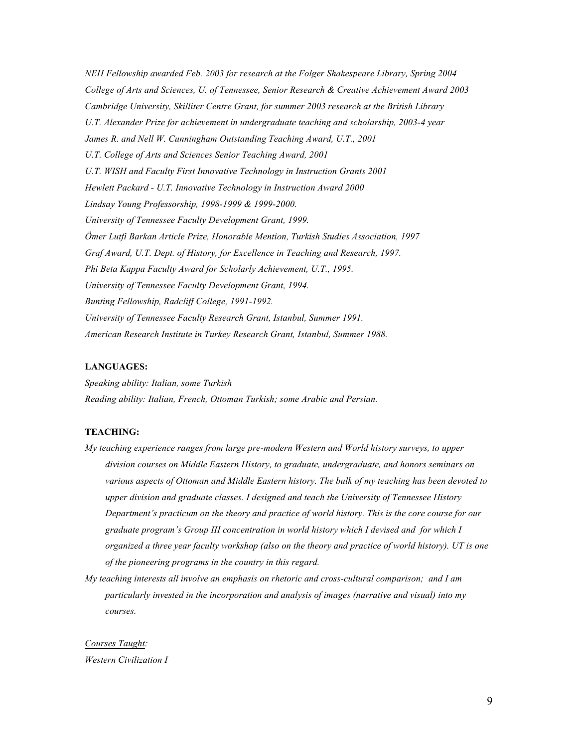*NEH Fellowship awarded Feb. 2003 for research at the Folger Shakespeare Library, Spring 2004 College of Arts and Sciences, U. of Tennessee, Senior Research & Creative Achievement Award 2003 Cambridge University, Skilliter Centre Grant, for summer 2003 research at the British Library U.T. Alexander Prize for achievement in undergraduate teaching and scholarship, 2003-4 year James R. and Nell W. Cunningham Outstanding Teaching Award, U.T., 2001 U.T. College of Arts and Sciences Senior Teaching Award, 2001 U.T. WISH and Faculty First Innovative Technology in Instruction Grants 2001 Hewlett Packard - U.T. Innovative Technology in Instruction Award 2000 Lindsay Young Professorship, 1998-1999 & 1999-2000. University of Tennessee Faculty Development Grant, 1999. Ömer Lutfi Barkan Article Prize, Honorable Mention, Turkish Studies Association, 1997 Graf Award, U.T. Dept. of History, for Excellence in Teaching and Research, 1997. Phi Beta Kappa Faculty Award for Scholarly Achievement, U.T., 1995. University of Tennessee Faculty Development Grant, 1994. Bunting Fellowship, Radcliff College, 1991-1992. University of Tennessee Faculty Research Grant, Istanbul, Summer 1991. American Research Institute in Turkey Research Grant, Istanbul, Summer 1988.* 

### **LANGUAGES:**

*Speaking ability: Italian, some Turkish Reading ability: Italian, French, Ottoman Turkish; some Arabic and Persian.*

# **TEACHING:**

- *My teaching experience ranges from large pre-modern Western and World history surveys, to upper division courses on Middle Eastern History, to graduate, undergraduate, and honors seminars on various aspects of Ottoman and Middle Eastern history. The bulk of my teaching has been devoted to upper division and graduate classes. I designed and teach the University of Tennessee History Department's practicum on the theory and practice of world history. This is the core course for our graduate program's Group III concentration in world history which I devised and for which I organized a three year faculty workshop (also on the theory and practice of world history). UT is one of the pioneering programs in the country in this regard.*
- *My teaching interests all involve an emphasis on rhetoric and cross-cultural comparison; and I am particularly invested in the incorporation and analysis of images (narrative and visual) into my courses.*

*Courses Taught: Western Civilization I*